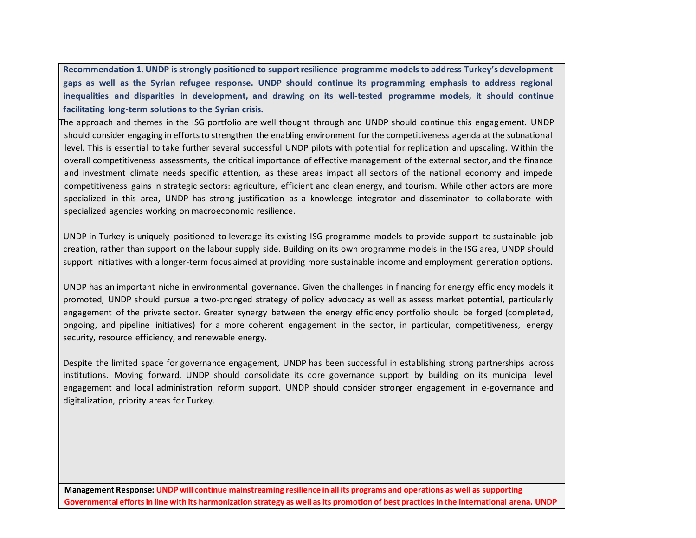**Recommendation 1. UNDP is strongly positioned to support resilience programme models to address Turkey's development gaps as well as the Syrian refugee response. UNDP should continue its programming emphasis to address regional inequalities and disparities in development, and drawing on its well-tested programme models, it should continue facilitating long-term solutions to the Syrian crisis.**

The approach and themes in the ISG portfolio are well thought through and UNDP should continue this engagement. UNDP should consider engaging in efforts to strengthen the enabling environment for the competitiveness agenda at the subnational level. This is essential to take further several successful UNDP pilots with potential for replication and upscaling. Within the overall competitiveness assessments, the critical importance of effective management of the external sector, and the finance and investment climate needs specific attention, as these areas impact all sectors of the national economy and impede competitiveness gains in strategic sectors: agriculture, efficient and clean energy, and tourism. While other actors are more specialized in this area, UNDP has strong justification as a knowledge integrator and disseminator to collaborate with specialized agencies working on macroeconomic resilience.

UNDP in Turkey is uniquely positioned to leverage its existing ISG programme models to provide support to sustainable job creation, rather than support on the labour supply side. Building on its own programme models in the ISG area, UNDP should support initiatives with a longer-term focus aimed at providing more sustainable income and employment generation options.

UNDP has an important niche in environmental governance. Given the challenges in financing for energy efficiency models it promoted, UNDP should pursue a two-pronged strategy of policy advocacy as well as assess market potential, particularly engagement of the private sector. Greater synergy between the energy efficiency portfolio should be forged (completed, ongoing, and pipeline initiatives) for a more coherent engagement in the sector, in particular, competitiveness, energy security, resource efficiency, and renewable energy.

Despite the limited space for governance engagement, UNDP has been successful in establishing strong partnerships across institutions. Moving forward, UNDP should consolidate its core governance support by building on its municipal level engagement and local administration reform support. UNDP should consider stronger engagement in e-governance and digitalization, priority areas for Turkey.

**Management Response: UNDP will continue mainstreaming resilience in all its programs and operations as well as supporting Governmental efforts in line with its harmonization strategy as well as its promotion of best practices in the international arena. UNDP**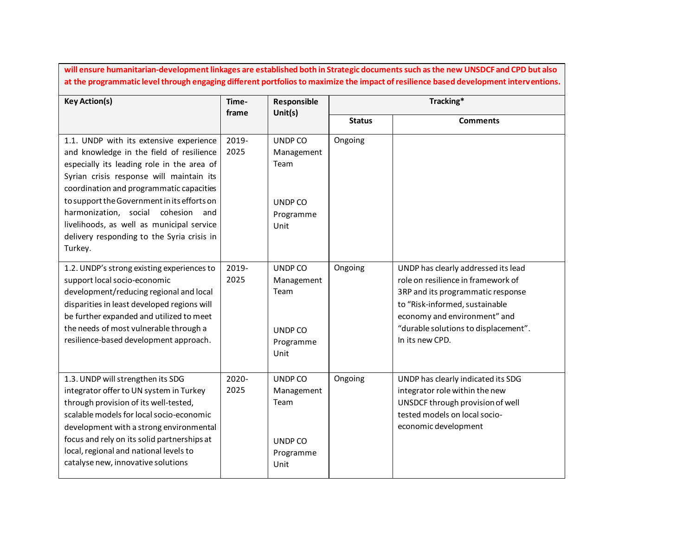**will ensure humanitarian-development linkages are established both in Strategic documents such as the new UNSDCF and CPD but also at the programmatic level through engaging different portfolios to maximize the impact of resilience based development interventions.**

| <b>Key Action(s)</b>                                                                                                                                                                                                                                                                                                                                                                                                    | Time-<br>frame | Tracking*<br>Responsible<br>Unit(s)                           |               |                                                                                                                                                                                                                                             |
|-------------------------------------------------------------------------------------------------------------------------------------------------------------------------------------------------------------------------------------------------------------------------------------------------------------------------------------------------------------------------------------------------------------------------|----------------|---------------------------------------------------------------|---------------|---------------------------------------------------------------------------------------------------------------------------------------------------------------------------------------------------------------------------------------------|
|                                                                                                                                                                                                                                                                                                                                                                                                                         |                |                                                               | <b>Status</b> | <b>Comments</b>                                                                                                                                                                                                                             |
| 1.1. UNDP with its extensive experience<br>and knowledge in the field of resilience<br>especially its leading role in the area of<br>Syrian crisis response will maintain its<br>coordination and programmatic capacities<br>to support the Government in its efforts on<br>harmonization, social cohesion<br>and<br>livelihoods, as well as municipal service<br>delivery responding to the Syria crisis in<br>Turkey. | 2019-<br>2025  | UNDP CO<br>Management<br>Team<br>UNDP CO<br>Programme<br>Unit | Ongoing       |                                                                                                                                                                                                                                             |
| 1.2. UNDP's strong existing experiences to<br>support local socio-economic<br>development/reducing regional and local<br>disparities in least developed regions will<br>be further expanded and utilized to meet<br>the needs of most vulnerable through a<br>resilience-based development approach.                                                                                                                    | 2019-<br>2025  | UNDP CO<br>Management<br>Team<br>UNDP CO<br>Programme<br>Unit | Ongoing       | UNDP has clearly addressed its lead<br>role on resilience in framework of<br>3RP and its programmatic response<br>to "Risk-informed, sustainable<br>economy and environment" and<br>"durable solutions to displacement".<br>In its new CPD. |
| 1.3. UNDP will strengthen its SDG<br>integrator offer to UN system in Turkey<br>through provision of its well-tested,<br>scalable models for local socio-economic<br>development with a strong environmental<br>focus and rely on its solid partnerships at<br>local, regional and national levels to<br>catalyse new, innovative solutions                                                                             | 2020-<br>2025  | UNDP CO<br>Management<br>Team<br>UNDP CO<br>Programme<br>Unit | Ongoing       | UNDP has clearly indicated its SDG<br>integrator role within the new<br>UNSDCF through provision of well<br>tested models on local socio-<br>economic development                                                                           |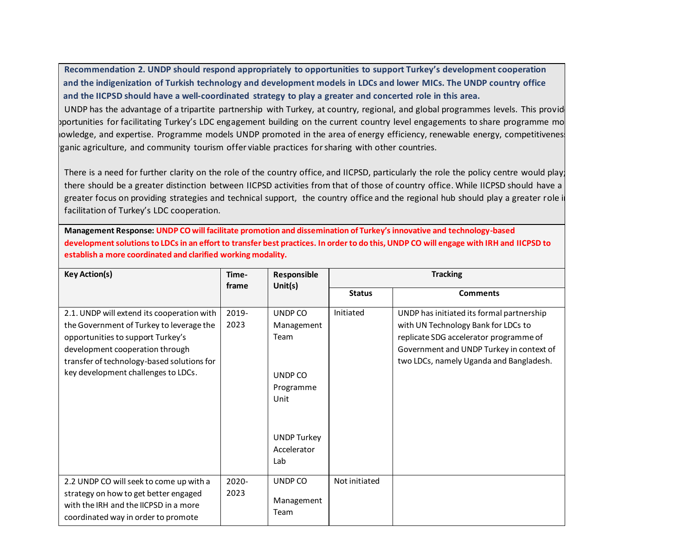**Recommendation 2. UNDP should respond appropriately to opportunities to support Turkey's development cooperation and the indigenization of Turkish technology and development models in LDCs and lower MICs. The UNDP country office and the IICPSD should have a well-coordinated strategy to play a greater and concerted role in this area.**

UNDP has the advantage of a tripartite partnership with Turkey, at country, regional, and global programmes levels. This provid pportunities for facilitating Turkey's LDC engagement building on the current country level engagements to share programme mo lowledge, and expertise. Programme models UNDP promoted in the area of energy efficiency, renewable energy, competitivenes ganic agriculture, and community tourism offer viable practices for sharing with other countries.

There is a need for further clarity on the role of the country office, and IICPSD, particularly the role the policy centre would play; there should be a greater distinction between IICPSD activities from that of those of country office. While IICPSD should have a greater focus on providing strategies and technical support, the country office and the regional hub should play a greater role i facilitation of Turkey's LDC cooperation.

**Management Response: UNDP CO will facilitate promotion and dissemination of Turkey's innovative and technology-based development solutions to LDCs in an effort to transfer best practices. In order to do this, UNDP CO will engage with IRH and IICPSD to establish a more coordinated and clarified working modality.**

| <b>Key Action(s)</b>                                                                                                                                                                                                                                | Time-<br>Responsible<br>frame<br>Unit $(s)$ |                                                                                                           | <b>Tracking</b> |                                                                                                                                                                                                                   |
|-----------------------------------------------------------------------------------------------------------------------------------------------------------------------------------------------------------------------------------------------------|---------------------------------------------|-----------------------------------------------------------------------------------------------------------|-----------------|-------------------------------------------------------------------------------------------------------------------------------------------------------------------------------------------------------------------|
|                                                                                                                                                                                                                                                     |                                             |                                                                                                           | <b>Status</b>   | <b>Comments</b>                                                                                                                                                                                                   |
| 2.1. UNDP will extend its cooperation with<br>the Government of Turkey to leverage the<br>opportunities to support Turkey's<br>development cooperation through<br>transfer of technology-based solutions for<br>key development challenges to LDCs. | 2019-<br>2023                               | UNDP CO<br>Management<br>Team<br>UNDP CO<br>Programme<br>Unit<br><b>UNDP Turkey</b><br>Accelerator<br>Lab | Initiated       | UNDP has initiated its formal partnership<br>with UN Technology Bank for LDCs to<br>replicate SDG accelerator programme of<br>Government and UNDP Turkey in context of<br>two LDCs, namely Uganda and Bangladesh. |
| 2.2 UNDP CO will seek to come up with a<br>strategy on how to get better engaged<br>with the IRH and the IICPSD in a more<br>coordinated way in order to promote                                                                                    | 2020-<br>2023                               | UNDP CO<br>Management<br>Team                                                                             | Not initiated   |                                                                                                                                                                                                                   |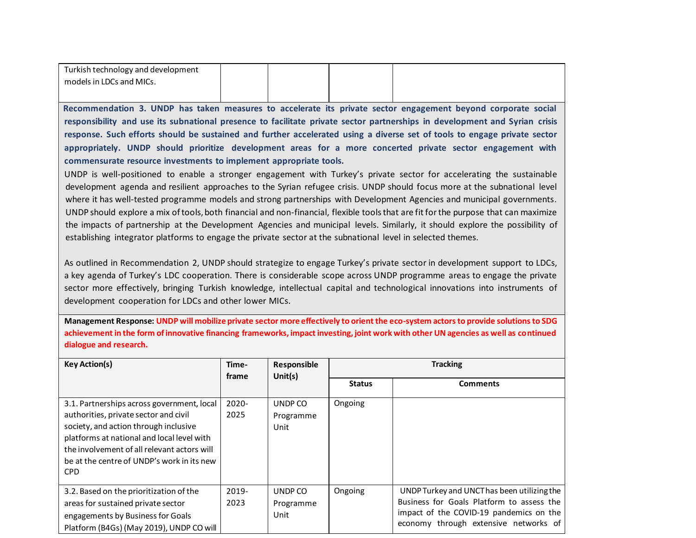| Turkish technology and development |  |  |
|------------------------------------|--|--|
| models in LDCs and MICs.           |  |  |
|                                    |  |  |

**Recommendation 3. UNDP has taken measures to accelerate its private sector engagement beyond corporate social responsibility and use its subnational presence to facilitate private sector partnerships in development and Syrian crisis response. Such efforts should be sustained and further accelerated using a diverse set of tools to engage private sector appropriately. UNDP should prioritize development areas for a more concerted private sector engagement with commensurate resource investments to implement appropriate tools.**

UNDP is well-positioned to enable a stronger engagement with Turkey's private sector for accelerating the sustainable development agenda and resilient approaches to the Syrian refugee crisis. UNDP should focus more at the subnational level where it has well-tested programme models and strong partnerships with Development Agencies and municipal governments. UNDP should explore a mix of tools, both financial and non-financial, flexible tools that are fit for the purpose that can maximize the impacts of partnership at the Development Agencies and municipal levels. Similarly, it should explore the possibility of establishing integrator platforms to engage the private sector at the subnational level in selected themes.

As outlined in Recommendation 2, UNDP should strategize to engage Turkey's private sector in development support to LDCs, a key agenda of Turkey's LDC cooperation. There is considerable scope across UNDP programme areas to engage the private sector more effectively, bringing Turkish knowledge, intellectual capital and technological innovations into instruments of development cooperation for LDCs and other lower MICs.

**Management Response: UNDP will mobilize private sector more effectively to orient the eco-system actors to provide solutions to SDG achievement in the form of innovative financing frameworks, impact investing, joint work with other UN agencies as well as continued dialogue and research.**

| <b>Key Action(s)</b>                                                                                                                                                                                                                                                                  | Time-<br>frame | Responsible<br>Unit $(s)$    |               | <b>Tracking</b>                                                                                                                                                              |
|---------------------------------------------------------------------------------------------------------------------------------------------------------------------------------------------------------------------------------------------------------------------------------------|----------------|------------------------------|---------------|------------------------------------------------------------------------------------------------------------------------------------------------------------------------------|
|                                                                                                                                                                                                                                                                                       |                |                              | <b>Status</b> | <b>Comments</b>                                                                                                                                                              |
| 3.1. Partnerships across government, local<br>authorities, private sector and civil<br>society, and action through inclusive<br>platforms at national and local level with<br>the involvement of all relevant actors will<br>be at the centre of UNDP's work in its new<br><b>CPD</b> | 2020-<br>2025  | UNDP CO<br>Programme<br>Unit | Ongoing       |                                                                                                                                                                              |
| 3.2. Based on the prioritization of the<br>areas for sustained private sector<br>engagements by Business for Goals<br>Platform (B4Gs) (May 2019), UNDP CO will                                                                                                                        | 2019-<br>2023  | UNDP CO<br>Programme<br>Unit | Ongoing       | UNDP Turkey and UNCT has been utilizing the<br>Business for Goals Platform to assess the<br>impact of the COVID-19 pandemics on the<br>economy through extensive networks of |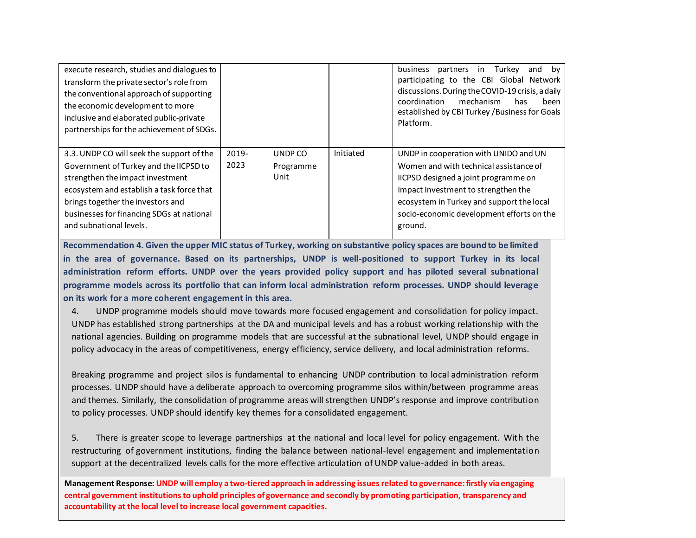| execute research, studies and dialogues to<br>transform the private sector's role from<br>the conventional approach of supporting<br>the economic development to more<br>inclusive and elaborated public-private<br>partnerships for the achievement of SDGs.                     |               |                              |           | business<br>in Turkey<br>partners<br>and<br>bv<br>participating to the CBI Global Network<br>discussions. During the COVID-19 crisis, a daily<br>coordination<br>mechanism<br>been<br>has<br>established by CBI Turkey / Business for Goals<br>Platform.            |
|-----------------------------------------------------------------------------------------------------------------------------------------------------------------------------------------------------------------------------------------------------------------------------------|---------------|------------------------------|-----------|---------------------------------------------------------------------------------------------------------------------------------------------------------------------------------------------------------------------------------------------------------------------|
| 3.3. UNDP CO will seek the support of the<br>Government of Turkey and the IICPSD to<br>strengthen the impact investment<br>ecosystem and establish a task force that<br>brings together the investors and<br>businesses for financing SDGs at national<br>and subnational levels. | 2019-<br>2023 | UNDP CO<br>Programme<br>Unit | Initiated | UNDP in cooperation with UNIDO and UN<br>Women and with technical assistance of<br>IICPSD designed a joint programme on<br>Impact Investment to strengthen the<br>ecosystem in Turkey and support the local<br>socio-economic development efforts on the<br>ground. |

**Recommendation 4. Given the upper MIC status of Turkey, working on substantive policy spaces are bound to be limited in the area of governance. Based on its partnerships, UNDP is well-positioned to support Turkey in its local administration reform efforts. UNDP over the years provided policy support and has piloted several subnational programme models across its portfolio that can inform local administration reform processes. UNDP should leverage on its work for a more coherent engagement in this area.**

4. UNDP programme models should move towards more focused engagement and consolidation for policy impact. UNDP has established strong partnerships at the DA and municipal levels and has a robust working relationship with the national agencies. Building on programme models that are successful at the subnational level, UNDP should engage in policy advocacy in the areas of competitiveness, energy efficiency, service delivery, and local administration reforms.

Breaking programme and project silos is fundamental to enhancing UNDP contribution to local administration reform processes. UNDP should have a deliberate approach to overcoming programme silos within/between programme areas and themes. Similarly, the consolidation of programme areas will strengthen UNDP's response and improve contribution to policy processes. UNDP should identify key themes for a consolidated engagement.

5. There is greater scope to leverage partnerships at the national and local level for policy engagement. With the restructuring of government institutions, finding the balance between national-level engagement and implementation support at the decentralized levels calls for the more effective articulation of UNDP value-added in both areas.

**Management Response: UNDP will employ a two-tiered approach in addressing issues related to governance: firstly via engaging central government institutions to uphold principles of governance and secondly by promoting participation, transparency and accountability at the local level to increase local government capacities.**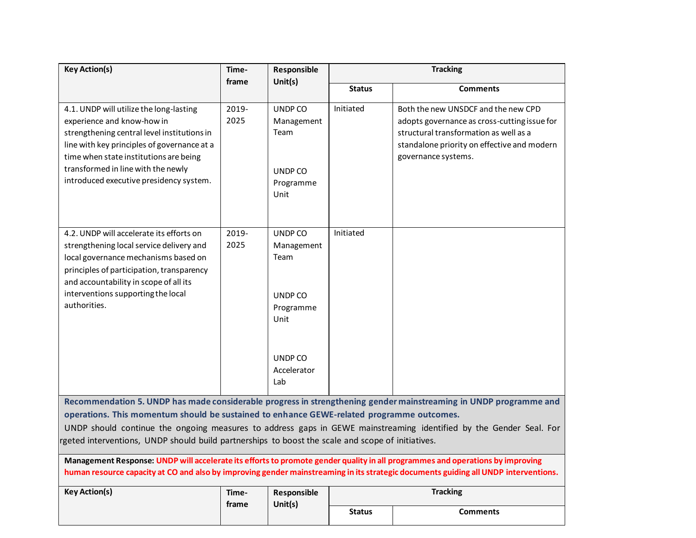| <b>Key Action(s)</b>                                                                                                                                                                                                                                                                                                                                                                                                                                                                                                                                                                                                                                                                                              | Time-            | Responsible                                                   | <b>Tracking</b> |                                                                                                                                                                                                     |  |
|-------------------------------------------------------------------------------------------------------------------------------------------------------------------------------------------------------------------------------------------------------------------------------------------------------------------------------------------------------------------------------------------------------------------------------------------------------------------------------------------------------------------------------------------------------------------------------------------------------------------------------------------------------------------------------------------------------------------|------------------|---------------------------------------------------------------|-----------------|-----------------------------------------------------------------------------------------------------------------------------------------------------------------------------------------------------|--|
|                                                                                                                                                                                                                                                                                                                                                                                                                                                                                                                                                                                                                                                                                                                   | Unit(s)<br>frame |                                                               | <b>Status</b>   | <b>Comments</b>                                                                                                                                                                                     |  |
| 4.1. UNDP will utilize the long-lasting<br>experience and know-how in<br>strengthening central level institutions in<br>line with key principles of governance at a<br>time when state institutions are being<br>transformed in line with the newly<br>introduced executive presidency system.                                                                                                                                                                                                                                                                                                                                                                                                                    | 2019-<br>2025    | UNDP CO<br>Management<br>Team<br>UNDP CO<br>Programme<br>Unit | Initiated       | Both the new UNSDCF and the new CPD<br>adopts governance as cross-cutting issue for<br>structural transformation as well as a<br>standalone priority on effective and modern<br>governance systems. |  |
| 4.2. UNDP will accelerate its efforts on<br>strengthening local service delivery and<br>local governance mechanisms based on<br>principles of participation, transparency<br>and accountability in scope of all its<br>interventions supporting the local<br>authorities.                                                                                                                                                                                                                                                                                                                                                                                                                                         | 2019-<br>2025    | UNDP CO<br>Management<br>Team<br>UNDP CO<br>Programme<br>Unit | Initiated       |                                                                                                                                                                                                     |  |
|                                                                                                                                                                                                                                                                                                                                                                                                                                                                                                                                                                                                                                                                                                                   |                  | UNDP CO<br>Accelerator<br>Lab                                 |                 |                                                                                                                                                                                                     |  |
| Recommendation 5. UNDP has made considerable progress in strengthening gender mainstreaming in UNDP programme and<br>operations. This momentum should be sustained to enhance GEWE-related programme outcomes.<br>UNDP should continue the ongoing measures to address gaps in GEWE mainstreaming identified by the Gender Seal. For<br>rgeted interventions, UNDP should build partnerships to boost the scale and scope of initiatives.<br>Management Response: UNDP will accelerate its efforts to promote gender quality in all programmes and operations by improving<br>human resource capacity at CO and also by improving gender mainstreaming in its strategic documents guiding all UNDP interventions. |                  |                                                               |                 |                                                                                                                                                                                                     |  |
| <b>Key Action(s)</b>                                                                                                                                                                                                                                                                                                                                                                                                                                                                                                                                                                                                                                                                                              | Time-            | Responsible                                                   |                 | <b>Tracking</b>                                                                                                                                                                                     |  |
|                                                                                                                                                                                                                                                                                                                                                                                                                                                                                                                                                                                                                                                                                                                   | frame            | Unit(s)                                                       | <b>Status</b>   | <b>Comments</b>                                                                                                                                                                                     |  |
|                                                                                                                                                                                                                                                                                                                                                                                                                                                                                                                                                                                                                                                                                                                   |                  |                                                               |                 |                                                                                                                                                                                                     |  |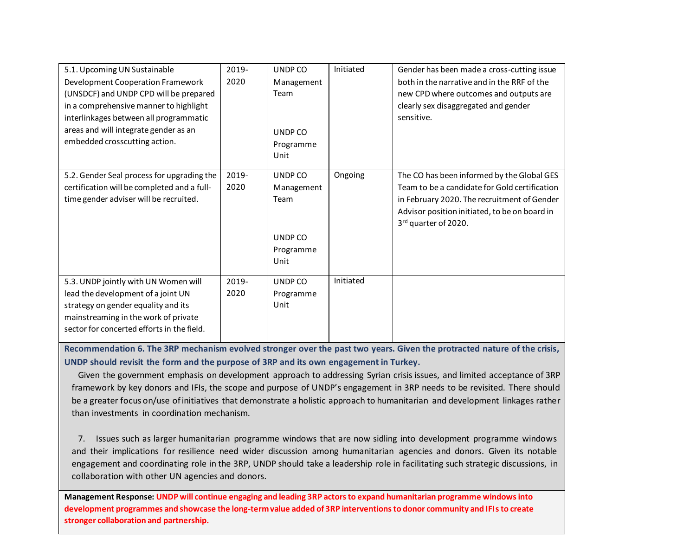| 5.1. Upcoming UN Sustainable                | 2019- | UNDP CO           | Initiated | Gender has been made a cross-cutting issue    |
|---------------------------------------------|-------|-------------------|-----------|-----------------------------------------------|
| Development Cooperation Framework           | 2020  | Management        |           | both in the narrative and in the RRF of the   |
| (UNSDCF) and UNDP CPD will be prepared      |       | Team              |           | new CPD where outcomes and outputs are        |
| in a comprehensive manner to highlight      |       |                   |           | clearly sex disaggregated and gender          |
| interlinkages between all programmatic      |       |                   |           | sensitive.                                    |
| areas and will integrate gender as an       |       | UNDP CO           |           |                                               |
| embedded crosscutting action.               |       | Programme<br>Unit |           |                                               |
| 5.2. Gender Seal process for upgrading the  | 2019- | UNDP CO           | Ongoing   | The CO has been informed by the Global GES    |
| certification will be completed and a full- | 2020  | Management        |           | Team to be a candidate for Gold certification |
| time gender adviser will be recruited.      |       | Team              |           | in February 2020. The recruitment of Gender   |
|                                             |       |                   |           | Advisor position initiated, to be on board in |
|                                             |       |                   |           | 3rd quarter of 2020.                          |
|                                             |       | UNDP CO           |           |                                               |
|                                             |       | Programme         |           |                                               |
|                                             |       | Unit              |           |                                               |
| 5.3. UNDP jointly with UN Women will        | 2019- | UNDP CO           | Initiated |                                               |
| lead the development of a joint UN          | 2020  | Programme         |           |                                               |
| strategy on gender equality and its         |       | Unit              |           |                                               |
| mainstreaming in the work of private        |       |                   |           |                                               |
| sector for concerted efforts in the field.  |       |                   |           |                                               |
|                                             |       |                   |           |                                               |

**Recommendation 6. The 3RP mechanism evolved stronger over the past two years. Given the protracted nature of the crisis, UNDP should revisit the form and the purpose of 3RP and its own engagement in Turkey.** 

Given the government emphasis on development approach to addressing Syrian crisis issues, and limited acceptance of 3RP framework by key donors and IFIs, the scope and purpose of UNDP's engagement in 3RP needs to be revisited. There should be a greater focus on/use of initiatives that demonstrate a holistic approach to humanitarian and development linkages rather than investments in coordination mechanism.

7. Issues such as larger humanitarian programme windows that are now sidling into development programme windows and their implications for resilience need wider discussion among humanitarian agencies and donors. Given its notable engagement and coordinating role in the 3RP, UNDP should take a leadership role in facilitating such strategic discussions, in collaboration with other UN agencies and donors.

**Management Response: UNDP will continue engaging and leading 3RP actors to expand humanitarian programme windows into development programmes and showcase the long-term value added of 3RP interventions to donor community and IFIs to create stronger collaboration and partnership.**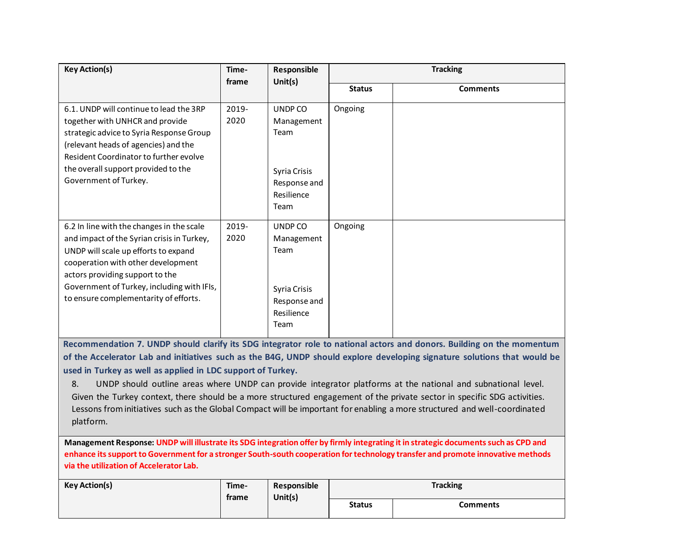| <b>Key Action(s)</b>                                                                                                                                                                                                                                                                                                                                                                                                                       | Time-<br>Responsible |                                                    | <b>Tracking</b> |                                                                                                                          |  |
|--------------------------------------------------------------------------------------------------------------------------------------------------------------------------------------------------------------------------------------------------------------------------------------------------------------------------------------------------------------------------------------------------------------------------------------------|----------------------|----------------------------------------------------|-----------------|--------------------------------------------------------------------------------------------------------------------------|--|
|                                                                                                                                                                                                                                                                                                                                                                                                                                            | frame                | Unit(s)                                            | <b>Status</b>   | <b>Comments</b>                                                                                                          |  |
| 6.1. UNDP will continue to lead the 3RP<br>together with UNHCR and provide<br>strategic advice to Syria Response Group<br>(relevant heads of agencies) and the<br>Resident Coordinator to further evolve                                                                                                                                                                                                                                   | 2019-<br>2020        | UNDP CO<br>Management<br>Team                      | Ongoing         |                                                                                                                          |  |
| the overall support provided to the<br>Government of Turkey.                                                                                                                                                                                                                                                                                                                                                                               |                      | Syria Crisis<br>Response and<br>Resilience<br>Team |                 |                                                                                                                          |  |
| 6.2 In line with the changes in the scale<br>and impact of the Syrian crisis in Turkey,<br>UNDP will scale up efforts to expand<br>cooperation with other development<br>actors providing support to the                                                                                                                                                                                                                                   | 2019-<br>2020        | UNDP CO<br>Management<br>Team                      | Ongoing         |                                                                                                                          |  |
| Government of Turkey, including with IFIs,<br>to ensure complementarity of efforts.                                                                                                                                                                                                                                                                                                                                                        |                      | Syria Crisis<br>Response and<br>Resilience<br>Team |                 |                                                                                                                          |  |
|                                                                                                                                                                                                                                                                                                                                                                                                                                            |                      |                                                    |                 | Recommendation 7. UNDP should clarify its SDG integrator role to national actors and donors. Building on the momentum    |  |
|                                                                                                                                                                                                                                                                                                                                                                                                                                            |                      |                                                    |                 | of the Accelerator Lab and initiatives such as the B4G, UNDP should explore developing signature solutions that would be |  |
| used in Turkey as well as applied in LDC support of Turkey.<br>8.<br>UNDP should outline areas where UNDP can provide integrator platforms at the national and subnational level.<br>Given the Turkey context, there should be a more structured engagement of the private sector in specific SDG activities.<br>Lessons from initiatives such as the Global Compact will be important for enabling a more structured and well-coordinated |                      |                                                    |                 |                                                                                                                          |  |

platform.

**Management Response: UNDP will illustrate its SDG integration offer by firmly integrating it in strategic documents such as CPD and enhance its support to Government for a stronger South-south cooperation for technology transfer and promote innovative methods via the utilization of Accelerator Lab.**

| <b>Key Action(s)</b> | Time-<br>Unit $(s)$<br>trame | Responsible | <b>Tracking</b> |          |
|----------------------|------------------------------|-------------|-----------------|----------|
|                      |                              |             | <b>Status</b>   | Comments |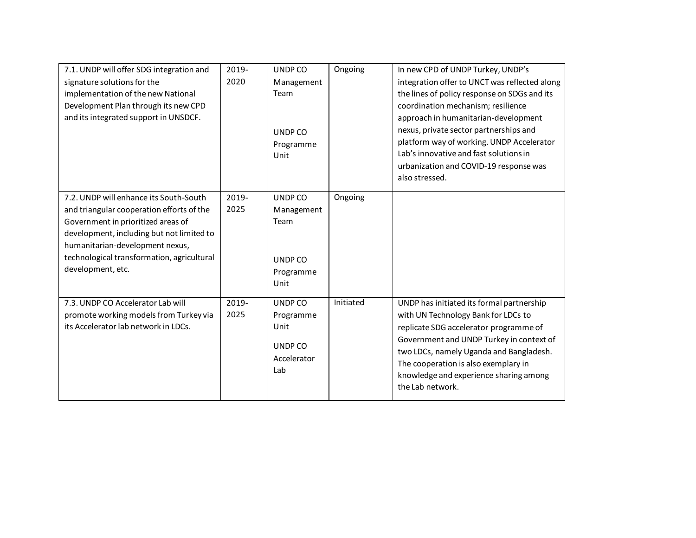| 7.1. UNDP will offer SDG integration and<br>signature solutions for the<br>implementation of the new National<br>Development Plan through its new CPD<br>and its integrated support in UNSDCF.                                                                               | 2019-<br>2020 | UNDP CO<br>Management<br>Team<br>UNDP CO<br>Programme<br>Unit | Ongoing   | In new CPD of UNDP Turkey, UNDP's<br>integration offer to UNCT was reflected along<br>the lines of policy response on SDGs and its<br>coordination mechanism; resilience<br>approach in humanitarian-development<br>nexus, private sector partnerships and<br>platform way of working. UNDP Accelerator<br>Lab's innovative and fast solutions in<br>urbanization and COVID-19 response was<br>also stressed. |
|------------------------------------------------------------------------------------------------------------------------------------------------------------------------------------------------------------------------------------------------------------------------------|---------------|---------------------------------------------------------------|-----------|---------------------------------------------------------------------------------------------------------------------------------------------------------------------------------------------------------------------------------------------------------------------------------------------------------------------------------------------------------------------------------------------------------------|
| 7.2. UNDP will enhance its South-South<br>and triangular cooperation efforts of the<br>Government in prioritized areas of<br>development, including but not limited to<br>humanitarian-development nexus,<br>technological transformation, agricultural<br>development, etc. | 2019-<br>2025 | UNDP CO<br>Management<br>Team<br>UNDP CO<br>Programme<br>Unit | Ongoing   |                                                                                                                                                                                                                                                                                                                                                                                                               |
| 7.3. UNDP CO Accelerator Lab will<br>promote working models from Turkey via<br>its Accelerator lab network in LDCs.                                                                                                                                                          | 2019-<br>2025 | UNDP CO<br>Programme<br>Unit<br>UNDP CO<br>Accelerator<br>Lab | Initiated | UNDP has initiated its formal partnership<br>with UN Technology Bank for LDCs to<br>replicate SDG accelerator programme of<br>Government and UNDP Turkey in context of<br>two LDCs, namely Uganda and Bangladesh.<br>The cooperation is also exemplary in<br>knowledge and experience sharing among<br>the Lab network.                                                                                       |